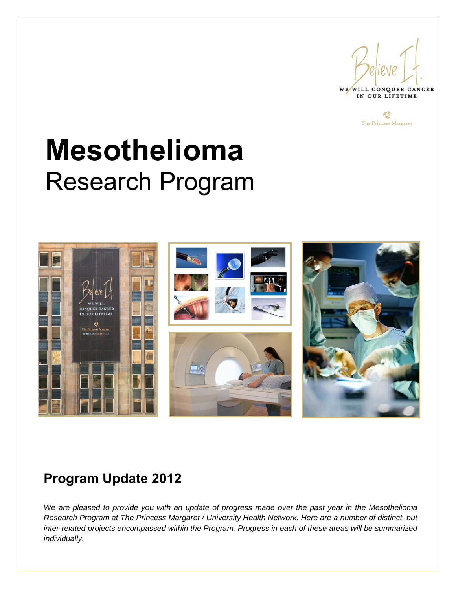



# **Mesothelioma** Research Program



## **Program Update 2012**

*We are pleased to provide you with an update of progress made over the past year in the Mesothelioma Research Program at The Princess Margaret / University Health Network. Here are a number of distinct, but inter-related projects encompassed within the Program. Progress in each of these areas will be summarized individually.*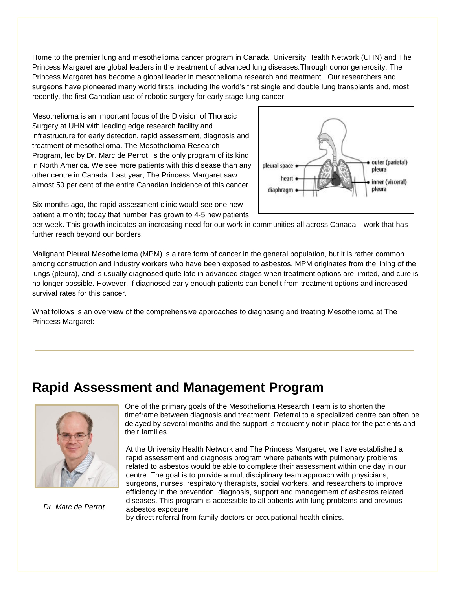Home to the premier lung and mesothelioma cancer program in Canada, University Health Network (UHN) and The Princess Margaret are global leaders in the treatment of advanced lung diseases.Through donor generosity, The Princess Margaret has become a global leader in mesothelioma research and treatment. Our researchers and surgeons have pioneered many world firsts, including the world's first single and double lung transplants and, most recently, the first Canadian use of robotic surgery for early stage lung cancer.

Mesothelioma is an important focus of the Division of Thoracic Surgery at UHN with leading edge research facility and infrastructure for early detection, rapid assessment, diagnosis and treatment of mesothelioma. The Mesothelioma Research Program, led by Dr. Marc de Perrot, is the only program of its kind in North America. We see more patients with this disease than any other centre in Canada. Last year, The Princess Margaret saw almost 50 per cent of the entire Canadian incidence of this cancer.



Six months ago, the rapid assessment clinic would see one new patient a month; today that number has grown to 4-5 new patients

per week. This growth indicates an increasing need for our work in communities all across Canada—work that has further reach beyond our borders.

Malignant Pleural Mesothelioma (MPM) is a rare form of cancer in the general population, but it is rather common among construction and industry workers who have been exposed to asbestos. MPM originates from the lining of the lungs (pleura), and is usually diagnosed quite late in advanced stages when treatment options are limited, and cure is no longer possible. However, if diagnosed early enough patients can benefit from treatment options and increased survival rates for this cancer.

What follows is an overview of the comprehensive approaches to diagnosing and treating Mesothelioma at The Princess Margaret:

## **Rapid Assessment and Management Program**



*Dr. Marc de Perrot* 

One of the primary goals of the Mesothelioma Research Team is to shorten the timeframe between diagnosis and treatment. Referral to a specialized centre can often be delayed by several months and the support is frequently not in place for the patients and their families.

At the University Health Network and The Princess Margaret, we have established a rapid assessment and diagnosis program where patients with pulmonary problems related to asbestos would be able to complete their assessment within one day in our centre. The goal is to provide a multidisciplinary team approach with physicians, surgeons, nurses, respiratory therapists, social workers, and researchers to improve efficiency in the prevention, diagnosis, support and management of asbestos related diseases. This program is accessible to all patients with lung problems and previous asbestos exposure

by direct referral from family doctors or occupational health clinics.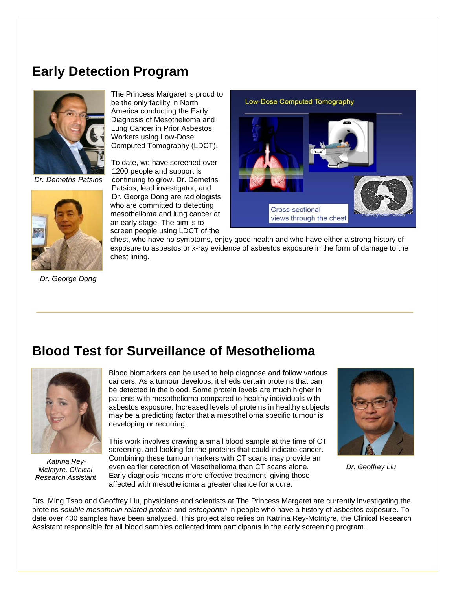## **Early Detection Program**



 *Dr. Demetris Patsios*



*Dr. George Dong*

The Princess Margaret is proud to be the only facility in North America conducting the Early Diagnosis of Mesothelioma and Lung Cancer in Prior Asbestos Workers using Low-Dose Computed Tomography (LDCT).

To date, we have screened over 1200 people and support is continuing to grow. Dr. Demetris Patsios, lead investigator, and Dr. George Dong are radiologists who are committed to detecting mesothelioma and lung cancer at an early stage. The aim is to screen people using LDCT of the

Low-Dose Computed Tomography



chest, who have no symptoms, enjoy good health and who have either a strong history of exposure to asbestos or x-ray evidence of asbestos exposure in the form of damage to the chest lining.

#### **Blood Test for Surveillance of Mesothelioma**



*Katrina Rey-McIntyre, Clinical Research Assistant*

Blood biomarkers can be used to help diagnose and follow various cancers. As a tumour develops, it sheds certain proteins that can be detected in the blood. Some protein levels are much higher in patients with mesothelioma compared to healthy individuals with asbestos exposure. Increased levels of proteins in healthy subjects may be a predicting factor that a mesothelioma specific tumour is developing or recurring.

This work involves drawing a small blood sample at the time of CT screening, and looking for the proteins that could indicate cancer. Combining these tumour markers with CT scans may provide an even earlier detection of Mesothelioma than CT scans alone. Early diagnosis means more effective treatment, giving those affected with mesothelioma a greater chance for a cure.



*Dr. Geoffrey Liu*

Drs. Ming Tsao and Geoffrey Liu, physicians and scientists at The Princess Margaret are currently investigating the proteins *soluble mesothelin related protein* and *osteopontin* in people who have a history of asbestos exposure. To date over 400 samples have been analyzed. This project also relies on Katrina Rey-McIntyre, the Clinical Research Assistant responsible for all blood samples collected from participants in the early screening program.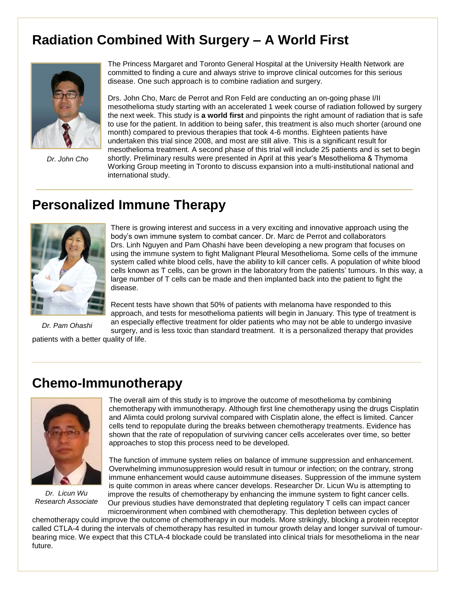## **Radiation Combined With Surgery – A World First**



*Dr. John Cho*

The Princess Margaret and Toronto General Hospital at the University Health Network are committed to finding a cure and always strive to improve clinical outcomes for this serious disease. One such approach is to combine radiation and surgery.

Drs. John Cho, Marc de Perrot and Ron Feld are conducting an on-going phase I/II mesothelioma study starting with an accelerated 1 week course of radiation followed by surgery the next week. This study is **a world first** and pinpoints the right amount of radiation that is safe to use for the patient. In addition to being safer, this treatment is also much shorter (around one month) compared to previous therapies that took 4-6 months. Eighteen patients have undertaken this trial since 2008, and most are still alive. This is a significant result for mesothelioma treatment. A second phase of this trial will include 25 patients and is set to begin shortly. Preliminary results were presented in April at this year's Mesothelioma & Thymoma Working Group meeting in Toronto to discuss expansion into a multi-institutional national and international study.

## **Personalized Immune Therapy**



There is growing interest and success in a very exciting and innovative approach using the body's own immune system to combat cancer. Dr. Marc de Perrot and collaborators Drs. Linh Nguyen and Pam Ohashi have been developing a new program that focuses on using the immune system to fight Malignant Pleural Mesothelioma. Some cells of the immune system called white blood cells, have the ability to kill cancer cells. A population of white blood cells known as T cells, can be grown in the laboratory from the patients' tumours. In this way, a large number of T cells can be made and then implanted back into the patient to fight the disease.

*Dr. Pam Ohashi*

Recent tests have shown that 50% of patients with melanoma have responded to this approach, and tests for mesothelioma patients will begin in January. This type of treatment is an especially effective treatment for older patients who may not be able to undergo invasive surgery, and is less toxic than standard treatment. It is a personalized therapy that provides

patients with a better quality of life.

## **Chemo-Immunotherapy**



*Dr. Licun Wu Research Associate*

The overall aim of this study is to improve the outcome of mesothelioma by combining chemotherapy with immunotherapy. Although first line chemotherapy using the drugs Cisplatin and Alimta could prolong survival compared with Cisplatin alone, the effect is limited. Cancer cells tend to repopulate during the breaks between chemotherapy treatments. Evidence has shown that the rate of repopulation of surviving cancer cells accelerates over time, so better approaches to stop this process need to be developed.

The function of immune system relies on balance of immune suppression and enhancement. Overwhelming immunosuppresion would result in tumour or infection; on the contrary, strong immune enhancement would cause autoimmune diseases. Suppression of the immune system is quite common in areas where cancer develops. Researcher Dr. Licun Wu is attempting to improve the results of chemotherapy by enhancing the immune system to fight cancer cells. Our previous studies have demonstrated that depleting regulatory T cells can impact cancer microenvironment when combined with chemotherapy. This depletion between cycles of

chemotherapy could improve the outcome of chemotherapy in our models. More strikingly, blocking a protein receptor called CTLA-4 during the intervals of chemotherapy has resulted in tumour growth delay and longer survival of tumourbearing mice. We expect that this CTLA-4 blockade could be translated into clinical trials for mesothelioma in the near future.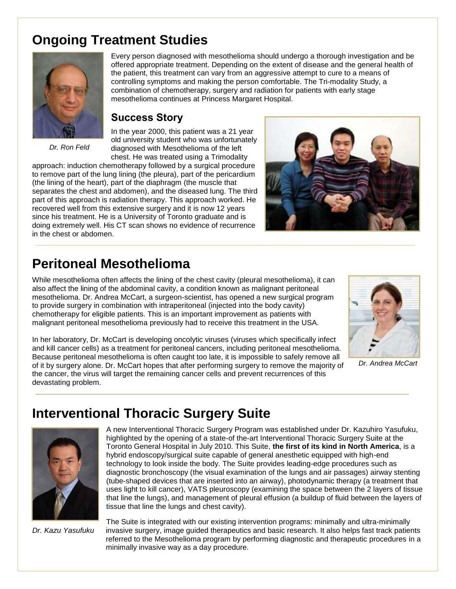## **Ongoing Treatment Studies**



Every person diagnosed with mesothelioma should undergo a thorough investigation and be offered appropriate treatment. Depending on the extent of disease and the general health of the patient, this treatment can vary from an aggressive attempt to cure to a means of controlling symptoms and making the person comfortable. The Tri-modality Study, a combination of chemotherapy, surgery and radiation for patients with early stage mesothelioma continues at Princess Margaret Hospital.

#### **Success Story**

*Dr. Ron Feld*

In the year 2000, this patient was a 21 year old university student who was unfortunately diagnosed with Mesothelioma of the left chest. He was treated using a Trimodality

approach: induction chemotherapy followed by a surgical procedure to remove part of the lung lining (the pleura), part of the pericardium (the lining of the heart), part of the diaphragm (the muscle that separates the chest and abdomen), and the diseased lung. The third part of this approach is radiation therapy. This approach worked. He recovered well from this extensive surgery and it is now 12 years since his treatment. He is a University of Toronto graduate and is doing extremely well. His CT scan shows no evidence of recurrence in the chest or abdomen.



## **Peritoneal Mesothelioma**

While mesothelioma often affects the lining of the chest cavity (pleural mesothelioma), it can also affect the lining of the abdominal cavity, a condition known as malignant peritoneal mesothelioma. Dr. Andrea McCart, a surgeon-scientist, has opened a new surgical program to provide surgery in combination with intraperitoneal (injected into the body cavity) chemotherapy for eligible patients. This is an important improvement as patients with malignant peritoneal mesothelioma previously had to receive this treatment in the USA.



*Dr. Andrea McCart*

In her laboratory, Dr. McCart is developing oncolytic viruses (viruses which specifically infect and kill cancer cells) as a treatment for peritoneal cancers, including peritoneal mesothelioma. Because peritoneal mesothelioma is often caught too late, it is impossible to safely remove all of it by surgery alone. Dr. McCart hopes that after performing surgery to remove the majority of the cancer, the virus will target the remaining cancer cells and prevent recurrences of this devastating problem.

# **Interventional Thoracic Surgery Suite**



A new Interventional Thoracic Surgery Program was established under Dr. Kazuhiro Yasufuku, highlighted by the opening of a state-of the-art Interventional Thoracic Surgery Suite at the Toronto General Hospital in July 2010. This Suite, **the first of its kind in North America**, is a hybrid endoscopy/surgical suite capable of general anesthetic equipped with high-end technology to look inside the body. The Suite provides leading-edge procedures such as diagnostic bronchoscopy (the visual examination of the lungs and air passages) airway stenting (tube-shaped devices that are inserted into an airway), photodynamic therapy (a treatment that uses light to kill cancer), VATS pleuroscopy (examining the space between the 2 layers of tissue that line the lungs), and management of pleural effusion (a buildup of fluid between the layers of tissue that line the lungs and chest cavity).

*Dr. Kazu Yasufuku*

The Suite is integrated with our existing intervention programs: minimally and ultra-minimally invasive surgery, image guided therapeutics and basic research. It also helps fast track patients referred to the Mesothelioma program by performing diagnostic and therapeutic procedures in a minimally invasive way as a day procedure.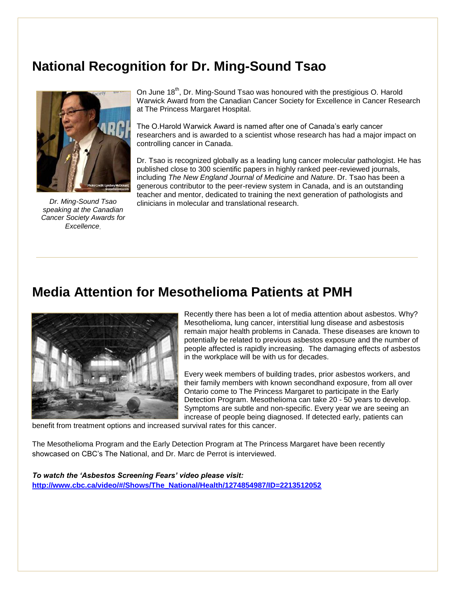## **National Recognition for Dr. Ming-Sound Tsao**



*Dr. Ming-Sound Tsao speaking at the Canadian Cancer Society Awards for Excellence*

On June 18<sup>th</sup>, Dr. Ming-Sound Tsao was honoured with the prestigious O. Harold Warwick Award from the Canadian Cancer Society for Excellence in Cancer Research at The Princess Margaret Hospital.

The O.Harold Warwick Award is named after one of Canada's early cancer researchers and is awarded to a scientist whose research has had a major impact on controlling cancer in Canada.

Dr. Tsao is recognized globally as a leading lung cancer molecular pathologist. He has published close to 300 scientific papers in highly ranked peer-reviewed journals, including *The New England Journal of Medicine* and *Nature*. Dr. Tsao has been a generous contributor to the peer-review system in Canada, and is an outstanding teacher and mentor, dedicated to training the next generation of pathologists and clinicians in molecular and translational research.

## **Media Attention for Mesothelioma Patients at PMH**



Recently there has been a lot of media attention about asbestos. Why? Mesothelioma, lung cancer, interstitial lung disease and asbestosis remain major health problems in Canada. These diseases are known to potentially be related to previous asbestos exposure and the number of people affected is rapidly increasing. The damaging effects of asbestos in the workplace will be with us for decades.

Every week members of building trades, prior asbestos workers, and their family members with known secondhand exposure, from all over Ontario come to The Princess Margaret to participate in the Early Detection Program. Mesothelioma can take 20 - 50 years to develop. Symptoms are subtle and non-specific. Every year we are seeing an increase of people being diagnosed. If detected early, patients can

benefit from treatment options and increased survival rates for this cancer.

The Mesothelioma Program and the Early Detection Program at The Princess Margaret have been recently showcased on CBC's The National, and Dr. Marc de Perrot is interviewed.

*To watch the 'Asbestos Screening Fears' video please visit:*  **[http://www.cbc.ca/video/#/Shows/The\\_National/Health/1274854987/ID=2213512052](http://www.cbc.ca/video/#/Shows/The_National/Health/1274854987/ID=2213512052)**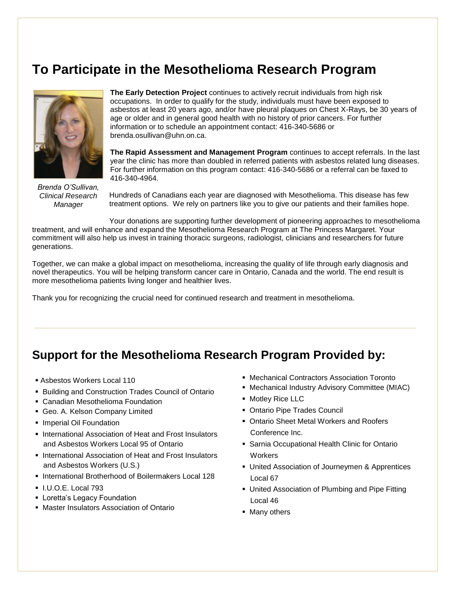## **To Participate in the Mesothelioma Research Program**



*Brenda O'Sullivan, Clinical Research Manager*

**The Early Detection Project** continues to actively recruit individuals from high risk occupations. In order to qualify for the study, individuals must have been exposed to asbestos at least 20 years ago, and/or have pleural plaques on Chest X-Rays, be 30 years of age or older and in general good health with no history of prior cancers. For further information or to schedule an appointment contact: 416-340-5686 or brenda.osullivan@uhn.on.ca.

**The Rapid Assessment and Management Program** continues to accept referrals. In the last year the clinic has more than doubled in referred patients with asbestos related lung diseases. For further information on this program contact: 416-340-5686 or a referral can be faxed to 416-340-4964.

Hundreds of Canadians each year are diagnosed with Mesothelioma. This disease has few treatment options. We rely on partners like you to give our patients and their families hope.

Your donations are supporting further development of pioneering approaches to mesothelioma treatment, and will enhance and expand the Mesothelioma Research Program at The Princess Margaret. Your commitment will also help us invest in training thoracic surgeons, radiologist, clinicians and researchers for future generations.

Together, we can make a global impact on mesothelioma, increasing the quality of life through early diagnosis and novel therapeutics. You will be helping transform cancer care in Ontario, Canada and the world. The end result is more mesothelioma patients living longer and healthier lives.

Thank you for recognizing the crucial need for continued research and treatment in mesothelioma.

#### **Support for the Mesothelioma Research Program Provided by:**

- Asbestos Workers Local 110
- **Building and Construction Trades Council of Ontario**
- Canadian Mesothelioma Foundation
- Geo. A. Kelson Company Limited
- **Imperial Oil Foundation**
- **International Association of Heat and Frost Insulators** and Asbestos Workers Local 95 of Ontario
- International Association of Heat and Frost Insulators and Asbestos Workers (U.S.)
- **International Brotherhood of Boilermakers Local 128**
- I.U.O.E. Local 793
- **Exercise Legacy Foundation**
- Master Insulators Association of Ontario
- Mechanical Contractors Association Toronto
- Mechanical Industry Advisory Committee (MIAC)
- **Motley Rice LLC**
- Ontario Pipe Trades Council
- Ontario Sheet Metal Workers and Roofers Conference Inc.
- **Sarnia Occupational Health Clinic for Ontario Workers**
- United Association of Journeymen & Apprentices Local 67
- United Association of Plumbing and Pipe Fitting Local 46
- Many others